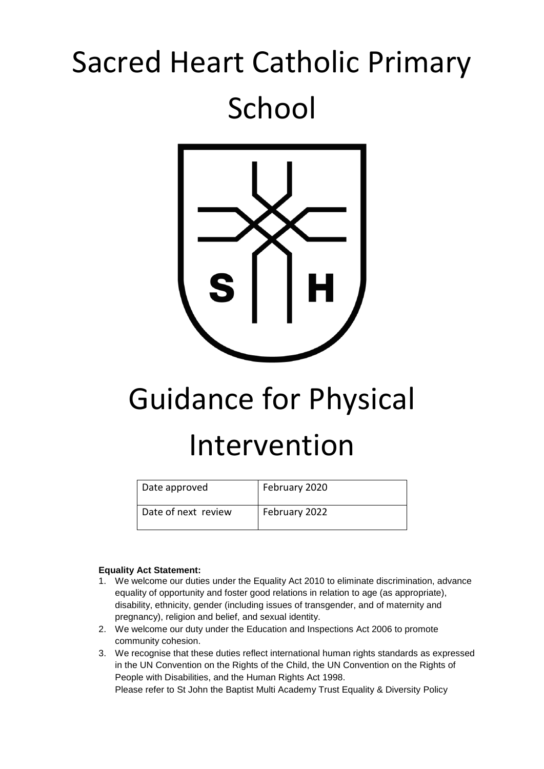## Sacred Heart Catholic Primary School



# Guidance for Physical

### Intervention

| Date approved       | February 2020 |
|---------------------|---------------|
| Date of next review | February 2022 |

#### **Equality Act Statement:**

- 1. We welcome our duties under the Equality Act 2010 to eliminate discrimination, advance equality of opportunity and foster good relations in relation to age (as appropriate), disability, ethnicity, gender (including issues of transgender, and of maternity and pregnancy), religion and belief, and sexual identity.
- 2. We welcome our duty under the Education and Inspections Act 2006 to promote community cohesion.
- 3. We recognise that these duties reflect international human rights standards as expressed in the UN Convention on the Rights of the Child, the UN Convention on the Rights of People with Disabilities, and the Human Rights Act 1998. Please refer to St John the Baptist Multi Academy Trust Equality & Diversity Policy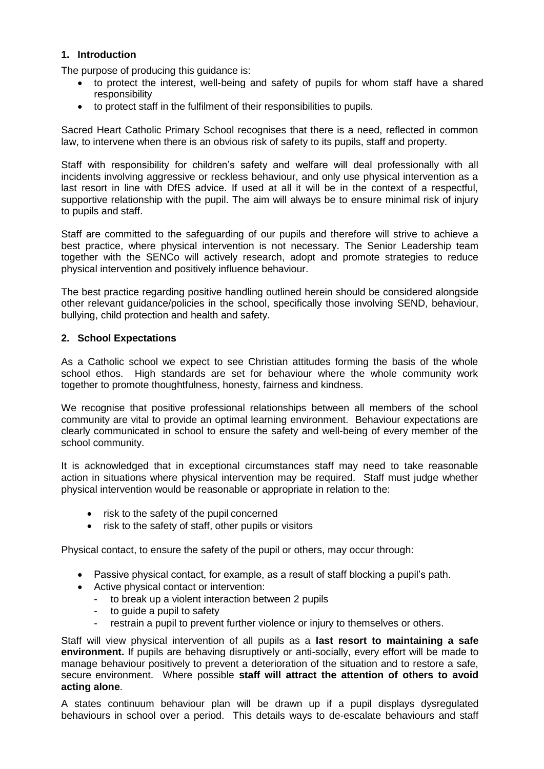#### **1. Introduction**

The purpose of producing this guidance is:

- to protect the interest, well-being and safety of pupils for whom staff have a shared responsibility
- to protect staff in the fulfilment of their responsibilities to pupils.

Sacred Heart Catholic Primary School recognises that there is a need, reflected in common law, to intervene when there is an obvious risk of safety to its pupils, staff and property.

Staff with responsibility for children's safety and welfare will deal professionally with all incidents involving aggressive or reckless behaviour, and only use physical intervention as a last resort in line with DfES advice. If used at all it will be in the context of a respectful, supportive relationship with the pupil. The aim will always be to ensure minimal risk of injury to pupils and staff.

Staff are committed to the safeguarding of our pupils and therefore will strive to achieve a best practice, where physical intervention is not necessary. The Senior Leadership team together with the SENCo will actively research, adopt and promote strategies to reduce physical intervention and positively influence behaviour.

The best practice regarding positive handling outlined herein should be considered alongside other relevant guidance/policies in the school, specifically those involving SEND, behaviour, bullying, child protection and health and safety.

#### **2. School Expectations**

As a Catholic school we expect to see Christian attitudes forming the basis of the whole school ethos. High standards are set for behaviour where the whole community work together to promote thoughtfulness, honesty, fairness and kindness.

We recognise that positive professional relationships between all members of the school community are vital to provide an optimal learning environment. Behaviour expectations are clearly communicated in school to ensure the safety and well-being of every member of the school community.

It is acknowledged that in exceptional circumstances staff may need to take reasonable action in situations where physical intervention may be required. Staff must judge whether physical intervention would be reasonable or appropriate in relation to the:

- risk to the safety of the pupil concerned
- risk to the safety of staff, other pupils or visitors

Physical contact, to ensure the safety of the pupil or others, may occur through:

- Passive physical contact, for example, as a result of staff blocking a pupil's path.
- Active physical contact or intervention:
	- to break up a violent interaction between 2 pupils
	- to guide a pupil to safety
	- restrain a pupil to prevent further violence or injury to themselves or others.

Staff will view physical intervention of all pupils as a **last resort to maintaining a safe environment.** If pupils are behaving disruptively or anti-socially, every effort will be made to manage behaviour positively to prevent a deterioration of the situation and to restore a safe, secure environment. Where possible **staff will attract the attention of others to avoid acting alone**.

A states continuum behaviour plan will be drawn up if a pupil displays dysregulated behaviours in school over a period. This details ways to de-escalate behaviours and staff